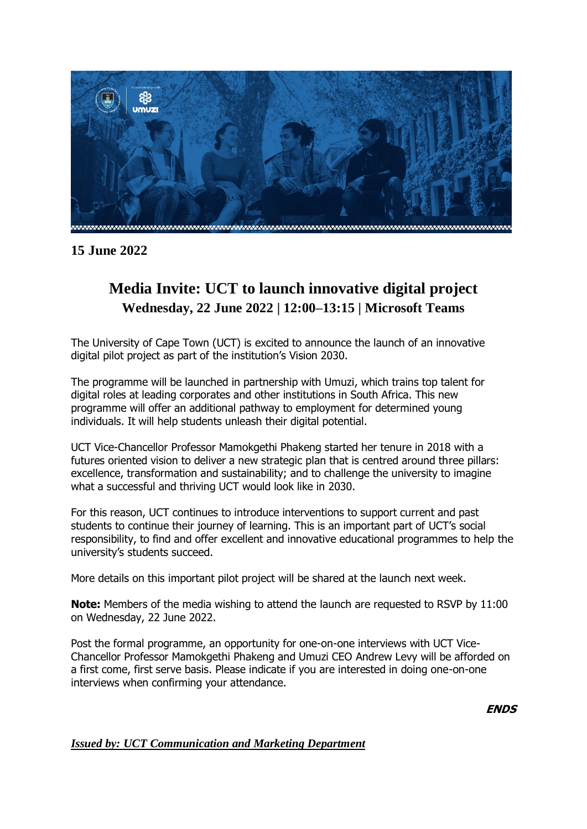

**15 June 2022**

## **Media Invite: UCT to launch innovative digital project Wednesday, 22 June 2022 | 12:00–13:15 | Microsoft Teams**

The University of Cape Town (UCT) is excited to announce the launch of an innovative digital pilot project as part of the institution's Vision 2030.

The programme will be launched in partnership with Umuzi, which trains top talent for digital roles at leading corporates and other institutions in South Africa. This new programme will offer an additional pathway to employment for determined young individuals. It will help students unleash their digital potential.

UCT Vice-Chancellor Professor Mamokgethi Phakeng started her tenure in 2018 with a futures oriented vision to deliver a new strategic plan that is centred around three pillars: excellence, transformation and sustainability; and to challenge the university to imagine what a successful and thriving UCT would look like in 2030.

For this reason, UCT continues to introduce interventions to support current and past students to continue their journey of learning. This is an important part of UCT's social responsibility, to find and offer excellent and innovative educational programmes to help the university's students succeed.

More details on this important pilot project will be shared at the launch next week.

**Note:** Members of the media wishing to attend the launch are requested to RSVP by 11:00 on Wednesday, 22 June 2022.

Post the formal programme, an opportunity for one-on-one interviews with UCT Vice-Chancellor Professor Mamokgethi Phakeng and Umuzi CEO Andrew Levy will be afforded on a first come, first serve basis. Please indicate if you are interested in doing one-on-one interviews when confirming your attendance.

**ENDS**

## *Issued by: UCT Communication and Marketing Department*